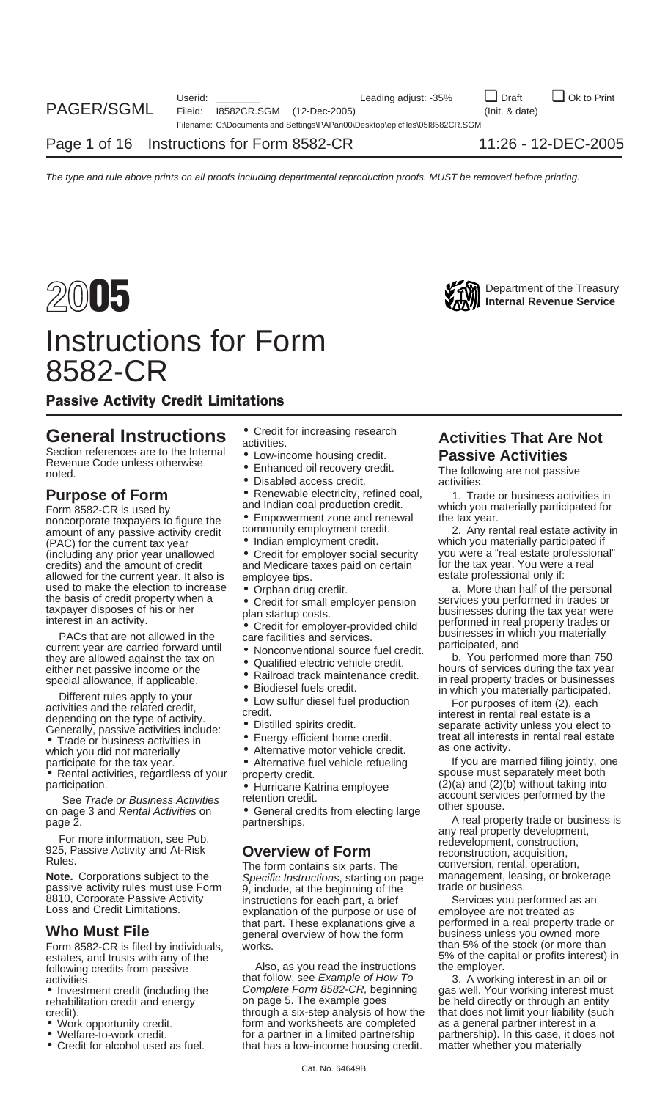

## Instructions for Form 8582-CR

Passive Activity Credit Limitations

Section references are to the Internal <br>Revenue Code unless otherwise<br>noted. The following are not passive<br>Disabled access credit. The following are not passive<br>activities.

Form 8582-CR is used by<br>
noncorporate taxpayers to figure the Community employment zone and renewal the tax year.<br>
amount of any passive activity credit community employment credit.<br>
2. Any rental real estate activity in amount of any passive activity credit community employment credit.<br>2. Part engloyment credit. 2. Any relation of engloyment credit. (PAC) for the current tax year • Indian employment credit. which you materially participated if<br>(including any prior year unallowed • Credit for employer social security you were a "real estate professional (including any prior year unallowed • Credit for employer social security you were a "real estate professional" allowed for the current year. It also is employee tips. estate professional only if:<br>used to make the election to increase  $\bullet$  Orphan drug credit. a section on the personal only if:

they are allowed against the tax on<br>
either net passive income or the<br>
special allowance, if applicable.<br>
Simical track maintenance credit.<br>
Simical track maintenance credit.<br>
Different rules apply to your<br>
activities and

• Rental activities, regardless of your property credit. spouse must separately meet both<br>participation. spouse a Hurricane Katrina employee (2)(a) and (2)(b) without taking into

passive activity rules must use Form 9, include, at the beginning of the basilon. Corporate Passive Activity instructions for each part a brief

estates, and trusts with any of the 5% of the capital or profits interest) in<br>following credits from passive Also, as you read the instructions the employer.

rehabilitation credit and energy credit).

- 
- 
- 
- 
- 
- 
- 
- **Purpose of Form** Renewable electricity, refined coal, a 1. Trade or business activities in <br>Form 8582-CR is used by and Indian coal production credit. Which you materially participated for
	-
	-
	- and Medicare taxes paid on certain for the tax year. You were<br>employee tips and the real for the state professional only if:
	-

- 
- 
- 
- 
- 
- 
- 
- 
- 
- 

on page 3 and *Rental Activities* on **C** General credits from electing large on page 2.<br>partnerships. A real property trade or business is any real property development,

Note. Corporations subject to the Specific Instructions six parts. The solutersion, rental, operation,<br> **Note.** Corporations subject to the Specific Instructions, starting on page management, leasing, or brokerage<br>
passive 8810, Corporate Passive Activity instructions for each part, a brief Services you performed as an Loss and Credit Limitations. explanation of the purpose or use of employee are not treated as an **Who Must File Explanations give a** performed in a real property trade or that part. These explanations give a performed in a real property trade or the form business unless you owned more Form 8582-CR is filed by individuals, works. The stock of the stock (or more than

Also, as you read the instructions the employer.<br>it follow, see *Example of How To* 3. A working interest in an oil or activities.<br>
• Investment credit (including the *Complete Form 8582-CR, beginning* Complete Form 8582-CR, beginning gas well. Your working interest must<br>on page 5. The example goes be held directly or through an entity through a six-step analysis of how the that does not limit your liability (such • Work opportunity credit. form and worksheets are completed as a general partner interest in a<br>• Welfare-to-work credit. entitled a partner in a limited partnership expartnership). In this case, it does • Welfare-to-work credit. for a partner in a limited partnership partnership). In this case, it does not <br>• Credit for alcohol used as fuel. that has a low-income housing credit. matter whether you materially that has a low-income housing credit.

# **General Instructions** • Credit for increasing research **Activities That Are Not** Section references are to the Internal **Activities Passive Activities**

used to make the election to increase <br>
the basis of credit property when a<br>
taxpayer disposes of his or her<br>
interest in an activity.<br>
PACs that are not allowed in the<br>
current year are carried forward until<br>
exponentiona

which you did not materially **•** Alternative motor vehicle credit. as one activity.<br>
participate for the tax year. • • Alternative fuel vehicle refueling if you are married filing jointly, one<br>
• Rental activities, regardl participation.<br>See Trade or Business Activities by the effection credit.<br>on page 3 and Rental Activities on Ceneral credits from electing large other spouse.

France information, see Pub.<br>
The form and At-Risk<br>
Property development, construction, redevelopment, construction,<br>
Property development, construction, acquisition,<br>
Property development, construction, rental, operation,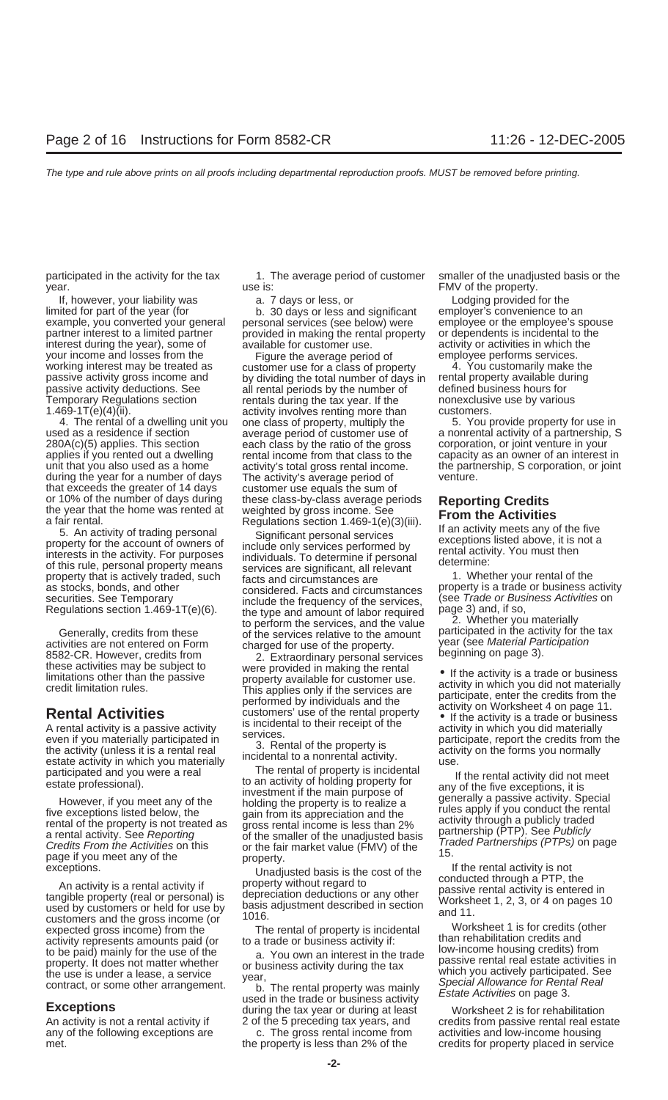If, however, your liability was a. 7 days or less, or Lodging provided for the

applies if you rented out a dwelling rental income from that class to the during the year for a number of days The activity's average period of that exceeds the greater of 14 days customer use equals the sum of or 10% of the number of days during these class-by-class average pe

The rental of property is incidental Worksheet 1 is for credits (other<br>activity represents amounts paid (or to a trade or business activity if:<br>than rehabilitation credits and<br>to be paid) mainly for the use of the

participated in the activity for the tax 1. The average period of customer smaller of the unadjusted basis or the year. The property is: the use is: the property is a set of the property.

limited for part of the year (for employer's convenience to an b. 30 days or less and significant employer's convenience to an example, you converted your general personal services (see below) were employee or the employee's spouse partner interest to a limited partner provided in making the rental property or dependents is incidental to the interest during the year), some of available for customer use. The activity or activities in which the

vour income and losses from the Figure the average period of employee performs services.<br>
working interest may be treated as customer use for a class of property 4. You customarily make the<br>
passive activity gross income a 4. The rental of a dwelling unit you one class of property, multiply the 5. You provide property for use in 280A(c)(5) applies. This section each class by the ratio of the gross corporation, or joint venture in your<br>applies if you rented out a dwelling rental income from that class to the capacity as an owner of an interest in

or 10% of the number of days during these class-by-class average periods<br>
at far rental.<br>
at far rental,<br>
at far rental,<br>
at far rental,<br>
at far rental,<br>
S. An activity of trading personal<br>
Significant personal services er

participated and you were a real<br>state professional).<br>
to an activity of holding property is incidental<br>
to the main purpose of<br>
the exceptions, it is<br>
thowever, if you meet any of the<br>
investment of the main purpose of<br>
t

any of the following exceptions are c. The gross rental income from activities and low-income housing met. the property is less than 2% of the credits for property placed in service

used as a residence if section average period of customer use of a nonrental activity of a partnership, S unit that you also used as a home activity's total gross rental income. The partnership, S corporation, or joint<br>during the year for a number of days The activity's average period of The Menture.

activities are not entered on Form<br>
state of the property. The case of the property.<br>
SES2-CR. However, credits from 2. Extraordinary personal services<br>
imitations of the passive subject to<br>
imitations of the property avai

to be paid) mainly for the use of the<br>property. It does not matter whether<br>the use of the weak of business activity during the tax<br>the use is under a lease, a service<br>contract, or some other arrangement.<br>**Exceptions** the t

An activity is not a rental activity if created the 5 preceding tax years, and credits from passive rental real estate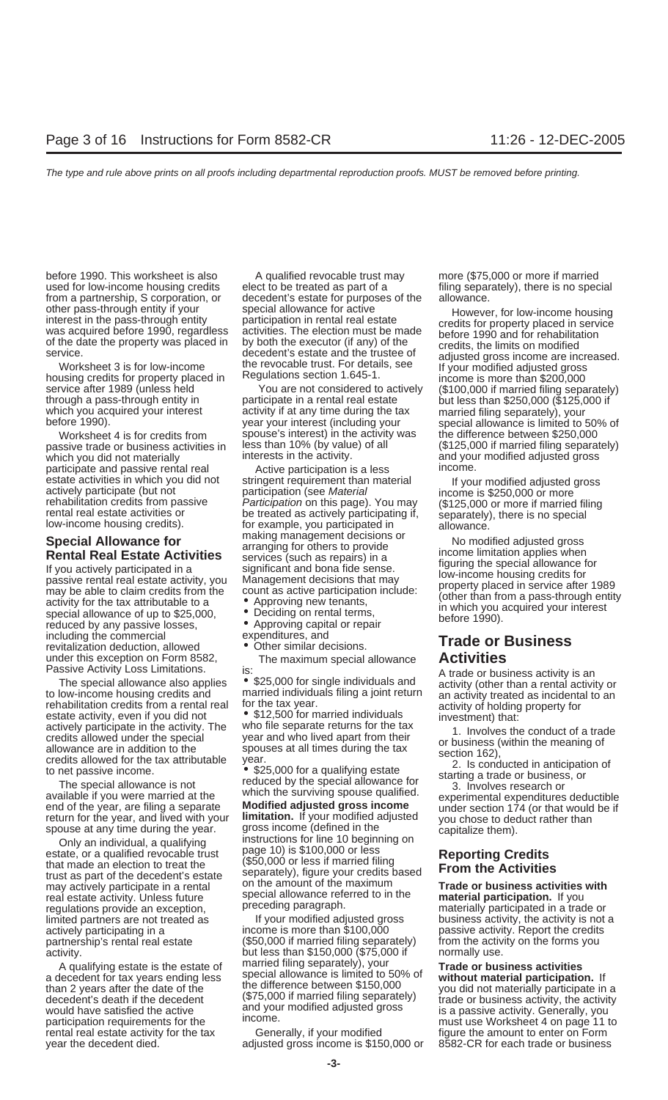before 1990. This worksheet is also held a qualified revocable trust may held (\$75,000 or more if married used for low-income housing credits elect to be treated as part of a filing separately), there is no special from a partnership, S corporation, or decedent's estate for purposes of the allowance.

passive trade or business activities in less than 10% (by value) passive trade or business activities in less than 10% (by value) which you did not materially interests in the activity. and your modified adjusted gross<br>narticipate and passive rental real and active participation is a less income participate and passive rental real and Active participation is a less estate activities in which you did not a stringent requirement than material

reduced by any passive losses, **Commercial expenditures**, and<br>including the commercial expenditures, and • Other similar decisions. **Trade or Business** revitalization deduction, allowed under this exception on Form 8582, The maximum special allowance **Activities**

Passive Activity Loss Limitations.<br>
The special allowance also applies  $\bullet$  \$25,000 for single individuals and<br>
to low-income housing credits and<br>
to low-income housing credits and<br>
to low-income housing credits and<br>
to t

real estate activity. Unless future special allowance referred to in the **material participation** special allowance referred to in the **matter** regulations provide an exception, expression preceding paragraph. materially participated in a trade or<br>Inited partners are not treated as express of tyour modified adjusted gross business activity, the activity is partnership's rental real estate (\$50,000 if married filing separately)

service after 1989 (unless held You are not considered to actively (\$100,000 if married filing separately)<br>through a pass-through entity in participate in a rental real estate but less than \$250,000 (\$125,000 if<br>which you

estate activities in which you did not<br>actively participate (but not<br>rehabilitation credits from passive *Participation* (see *Material* income is \$250,000 or more<br>rehabilitation credits from passive *Participation* on thi

- 
- 
- 
- 

spouse at any time during the year. gross income (defined in the<br>Only an individual, a qualifying instructions for line 10 beginning on<br>estate or a qualified revocable trust page 10) is \$100,000 or less estate, or a qualified revocable trust<br>that made an election to treat the (\$50,000 or less if married filing<br>trust as part of the decedent's estate<br>may actively participate in a rental on the amount of the maximum<br>net and may actively participate in a rental on the amount of the maximum **Trade or business activities** real estate activity. Unless future special allowance referred to in the **material participation.** If you

limited partners are not treated as If your modified adjusted gross business activity, the activity is not a<br>actively participating in a income is more than \$100,000 passive activity. Report the credits actively participating in a income is more than \$100,000 passive activity. Report the credits<br>
partnership's rental real estate (\$50,000 if married filing separately) from the activity on the forms you activity. but less than \$150,000 (\$75,000 if normally use. A qualifying estate is the estate of married filing separately), your<br>a decedent for tax years ending less special allowance is limited to 50% of **Trade or business activities**<br>than 2 years after the date of the the differ exactly is a passive activity, the activity<br>would have satisfied the active is a passive activity, the activity<br>would have satisfied the active and your modified adjusted gross is a passive activity. Generally, you<br>partici

rental real estate activity for the tax Generally, if your modified figure the amount to enter on Form year the decedent died. adjusted gross income is \$150,000 or 8582-CR for each trade or business

other pass-through entity if your special allowance for active interest in the pass-through entity articipation in rental real estate<br>was acquired before 1990, regardless activities. The election must be made<br>of the date t Worksheet 4 is for credits from spouse's interest) in the activity was the difference between \$250,000<br>ssive trade or business activities in less than 10% (by value) of all (\$125,000 if married filing separately)

Special Allowance for<br> **Rental Real Estate Activities**<br>
If you actively participated in a<br>
If you actively participated in a<br>
may be able to discuss (such as repairs) in a<br>
income limitation applies when<br>
figuring the spec

participation requirements for the must use worksheet 4 on page 11 to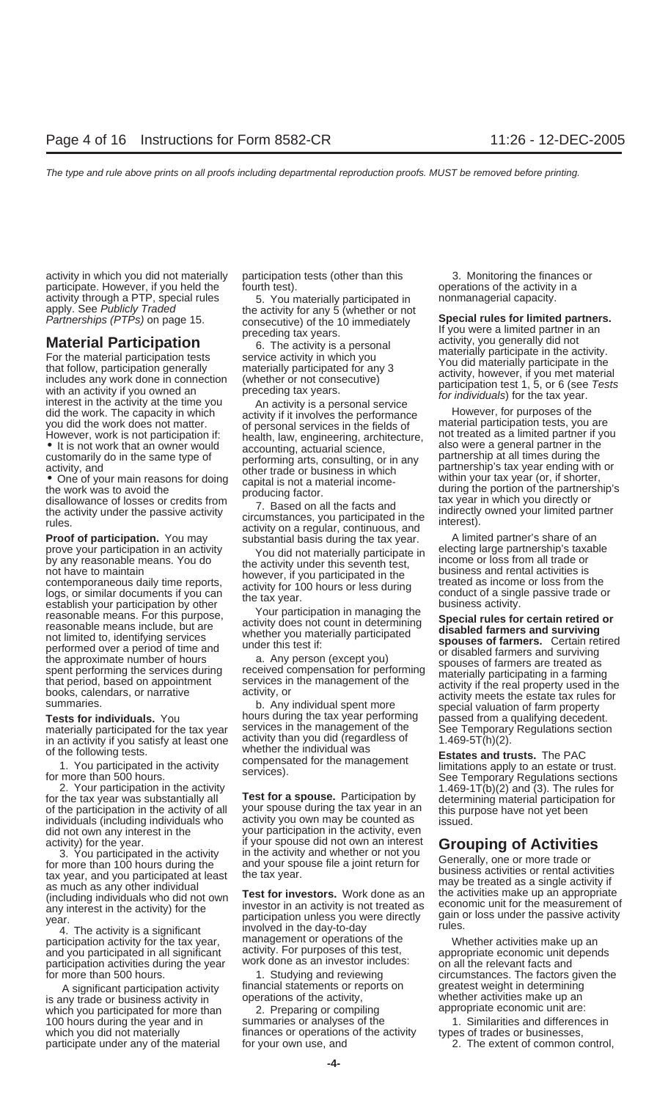activity in which you did not materially participation tests (other than this 3. Monitoring the finances or participate. However, if you held the fourth test).<br>
activity through a PTP, special rules  $\begin{array}{c} 5. \text{You materially participated in} \\ 6. \text{Noting} \\ 7. \text{You materially participated in} \end{array}$  nonmanagerial capacity.

prove your participation in an activity<br>
by any reasonable means. You do the activity valid not materially participate in<br>
the activity to did not materially participate in the contemporaneous daily time reports,<br>
not have

materially participated for the tax year services in the management or the See Temporary Regulations section<br>in an activity if you satisfy at least one activity than you did (regardless of 1.469-5T(h)(2). in an activity if you satisfy at least one activity than you did (regard<br>of the following tests of the individual was

individuals (including individuals who activity you own may be counted as<br>did not own any interest in the year your participation in the activity, even<br>activity) for the year.<br>if your spouse did not own an interest

participation activities during the year work done as an investor includes:  $\frac{1}{2}$  on all the relevant facts and for more than 500 hours. circumstances. The factors given the 1. Studying and reviewing circumstances. The factors given the

is any trade or business activity in operations of the activity, which you participated for more than  $\sim$  2. Preparing or compiling appropriate economic unit are: which you participated for more than 2. Preparing or compiling appropriate economic unit are:<br>100 hours during the year and in summaries or analyses of the 1. Similarities and differences in 100 hours during the year and in which you did not materially the mances or operations of the activity types of trades or businesses, participate under any of the material for your own use, and **2.** The extent of common control,

**Tests for individuals.** You hours during the tax year performing special valuation of farm property<br>**Tests for individuals.** You hours during the tax year performing passed from a qualifying decedent.<br>materially participa

4. The activity is a significant and the day-to-day<br>participation activity for the tax year, management or operations of the whether activities make up an<br>and you participated in all significant activity. For purposes of t and you participated in all significant activity. For purposes of this test, appropriate economic unit depends

A significant participation activity in ancial statements or reports on expreatest weight in determining<br>Inv trade or business activity in operations of the activity, whether activities make up an

activity through a PTP, special rules and the activity of any is the activity of any is the stationary of the activity of any is the consecutive) of the 10 immediately are a limited partners.<br> **Material Participation** prec

of the following tests.<br>
1. You participated in the activity<br>
for more than 500 hours.<br>
2. Your participation in the activity<br>
for the tax year was substantially all<br>
of the participation in the activity<br>
of the participat

activity) for the year. The activity in the activity and whether or not you<br>
for more than 100 hours during the<br>
tax year, and you participated at least<br>
the tax year.<br>
as much as any other individual<br>
(including individua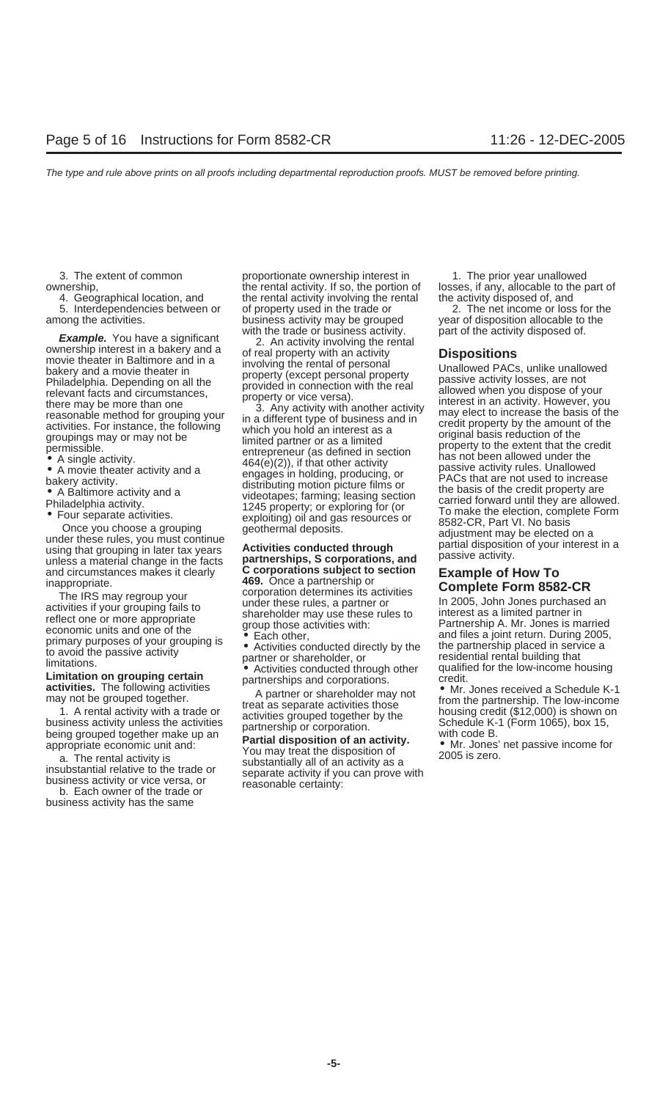**Limitation on grouping certain**<br> **activities.** The following activities and corporations.<br>
Mr. Jones received a Schedule K-1<br>
may not be grouped together.<br>  $\begin{array}{ll}\n & \text{partner or shareholder may not} \\
\text{may not be grouped together.} \\
\end{array}$ 

business activity has the same

3. The extent of common proportionate ownership interest in 1. The prior year unallowed ownership, ethe rental activity. If so, the portion of losses, if any, allocable to the part of intervential activity involving the rental the activity disposed of, and ethe part of 4. Geographical location, and the rental the rental activity involving the rental the activity disposed of, and 5. Interdependencies between or of property used in the trade or a mong the activities.<br>among the activities. business activity may be grouped year of disposition allocable to the business activity may be grouped<br>with the trade or business activity.

A partner or shareholder may not be grouped together.<br>
The proposition of the state as separate activities from the partnership. The low-income<br>
1. A rental activity with a trade or<br>
business activity unless the activities

Example. You have a significant<br>
with the trade of business activity involving the rental<br>
ownership interest in a bakery and a of real property with an activity<br>
movie theater in Baltimore and in a<br>
movie theater in Balti

and circumstances makes it clearly<br>
inappropriate. 469. Once a partnership or<br>
The IRS may regroup your<br>
activities if your grouping fails to<br>
activities if your grouping fails to<br>
economic units and one of the<br>
primary pu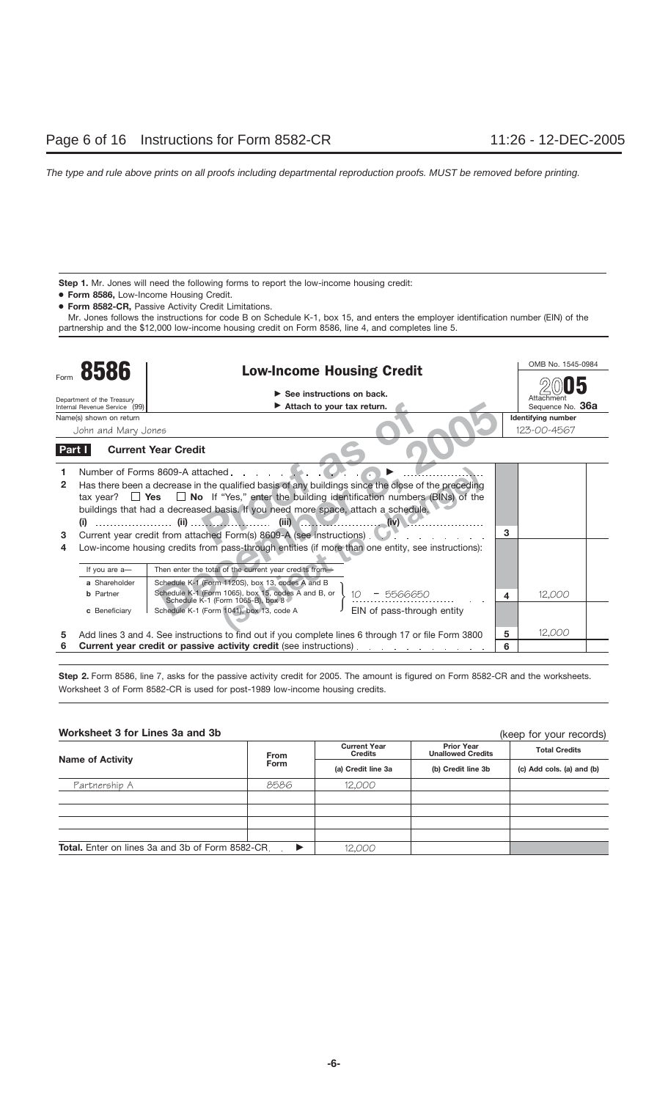Step 1. Mr. Jones will need the following forms to report the low-income housing credit:

- **Form 8586,** Low-Income Housing Credit.
- **Form 8582-CR,** Passive Activity Credit Limitations.

Mr. Jones follows the instructions for code B on Schedule K-1, box 15, and enters the employer identification number (EIN) of the partnership and the \$12,000 low-income housing credit on Form 8586, line 4, and completes line 5.

|        | 8586                          | <b>Low-Income Housing Credit</b>                                                                     |   | OMB No. 1545-0984  |
|--------|-------------------------------|------------------------------------------------------------------------------------------------------|---|--------------------|
|        |                               |                                                                                                      |   |                    |
|        | Department of the Treasury    | See instructions on back.                                                                            |   | Attachmen          |
|        | Internal Revenue Service (99) | $\blacktriangleright$ Attach to your tax return.                                                     |   | Sequence No. 36a   |
|        | Name(s) shown on return       |                                                                                                      |   | Identifying number |
|        | John and Mary Jones           |                                                                                                      |   | 123-00-4567        |
| Part I |                               | <b>Current Year Credit</b>                                                                           |   |                    |
|        |                               | Number of Forms 8609-A attached.                                                                     |   |                    |
| 2      |                               | Has there been a decrease in the qualified basis of any buildings since the close of the preceding   |   |                    |
|        |                               | tax year? $\Box$ Yes $\Box$ No If "Yes," enter the building identification numbers (BINs) of the     |   |                    |
|        |                               | buildings that had a decreased basis. If you need more space, attach a schedule.                     |   |                    |
|        |                               | (i) $\cdots$ (ii) $\cdots$ (ii) $\cdots$ (iii) $\cdots$<br>(iv)                                      |   |                    |
| 3      |                               | Current year credit from attached Form(s) 8609-A (see instructions).                                 | 3 |                    |
| 4      |                               | Low-income housing credits from pass-through entities (if more than one entity, see instructions):   |   |                    |
|        | If you are a-                 | Then enter the total of the current year credits from-                                               |   |                    |
|        | a Shareholder                 | Schedule K-1 (Form 1120S), box 13, codes A and B                                                     |   |                    |
|        | <b>b</b> Partner              | Schedule K-1 (Form 1065), box 15, codes A and B, or<br>5566650<br>Schedule K-1 (Form 1065-B), box 8  | 4 | 12.000             |
|        | c Beneficiary                 | EIN of pass-through entity<br>Schedule K-1 (Form 1041), box 13, code A                               |   |                    |
| 5      |                               | Add lines 3 and 4. See instructions to find out if you complete lines 6 through 17 or file Form 3800 | 5 | 12,000             |
|        |                               | <b>Current year credit or passive activity credit (see instructions).</b>                            | 6 |                    |

Step 2. Form 8586, line 7, asks for the passive activity credit for 2005. The amount is figured on Form 8582-CR and the worksheets. Worksheet 3 of Form 8582-CR is used for post-1989 low-income housing credits.

## **Worksheet 3 for Lines 3a and 3b**

(keep for your records)

|                                                         |             |                                       |                                               | INCOP IOI YOUI ICCOIDD    |  |
|---------------------------------------------------------|-------------|---------------------------------------|-----------------------------------------------|---------------------------|--|
| <b>Name of Activity</b>                                 | <b>From</b> | <b>Current Year</b><br><b>Credits</b> | <b>Prior Year</b><br><b>Unallowed Credits</b> | <b>Total Credits</b>      |  |
|                                                         | Form        | (a) Credit line 3a                    | (b) Credit line 3b                            | (c) Add cols. (a) and (b) |  |
| Partnership A                                           | 8586        | 12,000                                |                                               |                           |  |
|                                                         |             |                                       |                                               |                           |  |
|                                                         |             |                                       |                                               |                           |  |
|                                                         |             |                                       |                                               |                           |  |
|                                                         |             |                                       |                                               |                           |  |
| <b>Total.</b> Enter on lines 3a and 3b of Form 8582-CR. |             | 12,000                                |                                               |                           |  |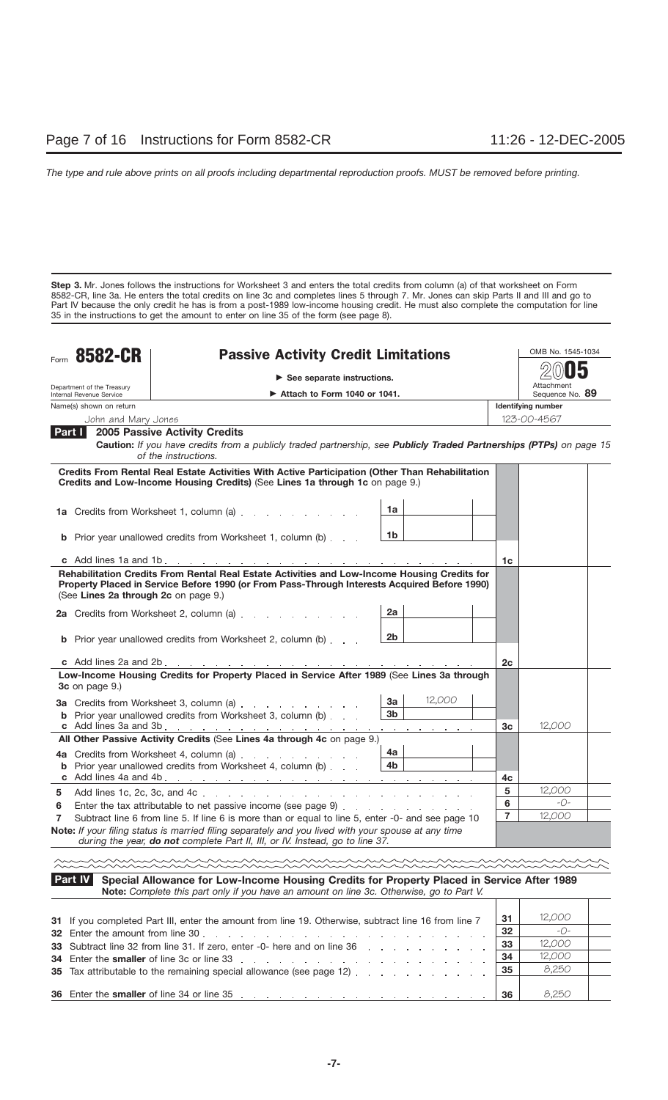**Step 3.** Mr. Jones follows the instructions for Worksheet 3 and enters the total credits from column (a) of that worksheet on Form 8582-CR, line 3a. He enters the total credits on line 3c and completes lines 5 through 7. Mr. Jones can skip Parts II and III and go to Part IV because the only credit he has is from a post-1989 low-income housing credit. He must also complete the computation for line 35 in the instructions to get the amount to enter on line 35 of the form (see page 8).

| Form                                                                                                         | <b>8582-CR</b>                       | <b>Passive Activity Credit Limitations</b>                                                                                                                                                   |                                |                | OMB No. 1545-1034             |
|--------------------------------------------------------------------------------------------------------------|--------------------------------------|----------------------------------------------------------------------------------------------------------------------------------------------------------------------------------------------|--------------------------------|----------------|-------------------------------|
|                                                                                                              |                                      | $\triangleright$ See separate instructions.                                                                                                                                                  |                                |                |                               |
| Department of the Treasury<br>$\blacktriangleright$ Attach to Form 1040 or 1041.<br>Internal Revenue Service |                                      |                                                                                                                                                                                              |                                |                | Attachment<br>Sequence No. 89 |
|                                                                                                              | Name(s) shown on return              |                                                                                                                                                                                              |                                |                | Identifying number            |
|                                                                                                              | John and Mary Jones                  |                                                                                                                                                                                              |                                |                | 123-00-4567                   |
| Part I                                                                                                       |                                      | 2005 Passive Activity Credits                                                                                                                                                                |                                |                |                               |
|                                                                                                              |                                      | Caution: If you have credits from a publicly traded partnership, see Publicly Traded Partnerships (PTPs) on page 15<br>of the instructions.                                                  |                                |                |                               |
|                                                                                                              |                                      | Credits From Rental Real Estate Activities With Active Participation (Other Than Rehabilitation<br>Credits and Low-Income Housing Credits) (See Lines 1a through 1c on page 9.)              |                                |                |                               |
|                                                                                                              |                                      | 1a Credits from Worksheet 1, column (a)                                                                                                                                                      | 1a                             |                |                               |
|                                                                                                              |                                      | <b>b</b> Prior year unallowed credits from Worksheet 1, column (b)                                                                                                                           | 1b                             |                |                               |
|                                                                                                              |                                      |                                                                                                                                                                                              |                                | 1c             |                               |
|                                                                                                              | (See Lines 2a through 2c on page 9.) | Rehabilitation Credits From Rental Real Estate Activities and Low-Income Housing Credits for<br>Property Placed in Service Before 1990 (or From Pass-Through Interests Acquired Before 1990) | 2a                             |                |                               |
|                                                                                                              |                                      | 2a Credits from Worksheet 2, column (a)<br><b>b</b> Prior year unallowed credits from Worksheet 2, column (b)                                                                                | 2b                             |                |                               |
|                                                                                                              |                                      | c Add lines 2a and 2b. $\ldots$ $\ldots$ $\ldots$ $\ldots$ $\ldots$ $\ldots$ $\ldots$ $\ldots$ $\ldots$ $\ldots$                                                                             |                                | 2c             |                               |
|                                                                                                              | <b>3c</b> on page 9.)                | Low-Income Housing Credits for Property Placed in Service After 1989 (See Lines 3a through                                                                                                   |                                |                |                               |
|                                                                                                              |                                      | <b>3a</b> Credits from Worksheet 3, column (a)<br><b>b</b> Prior year unallowed credits from Worksheet 3, column (b)                                                                         | 12,000<br>3a<br>3 <sub>b</sub> | 3c             | 12,000                        |
|                                                                                                              |                                      | All Other Passive Activity Credits (See Lines 4a through 4c on page 9.)                                                                                                                      |                                |                |                               |
|                                                                                                              |                                      | <b>4a</b> Credits from Worksheet 4, column (a)<br><b>b</b> Prior year unallowed credits from Worksheet 4, column (b)                                                                         | 4a<br>4b                       | 4c             |                               |
| 5                                                                                                            |                                      |                                                                                                                                                                                              |                                | 5              | 12,000                        |
| 6                                                                                                            |                                      |                                                                                                                                                                                              |                                | 6              | $-() -$                       |
| 7                                                                                                            |                                      | Subtract line 6 from line 5. If line 6 is more than or equal to line 5, enter -0- and see page 10                                                                                            |                                | $\overline{7}$ | 12,000                        |
|                                                                                                              |                                      | Note: If your filing status is married filing separately and you lived with your spouse at any time<br>during the year, do not complete Part II, III, or IV. Instead, go to line 37.         |                                |                |                               |
|                                                                                                              |                                      |                                                                                                                                                                                              |                                |                |                               |
|                                                                                                              | Part IV                              | Special Allowance for Low-Income Housing Credits for Property Placed in Service After 1989<br>Note: Complete this part only if you have an amount on line 3c. Otherwise, go to Part V.       |                                |                |                               |
|                                                                                                              |                                      | 21 If you completed Part III, enter the amount from line 19. Otherwise subtract line 16 from line 7                                                                                          |                                | 31             | 12,000                        |

| 31 If you completed Part III, enter the amount from line 19. Otherwise, subtract line 16 from line 7                                                                                                                                     | 31  | 12,000 |  |
|------------------------------------------------------------------------------------------------------------------------------------------------------------------------------------------------------------------------------------------|-----|--------|--|
|                                                                                                                                                                                                                                          | 32  | -0-    |  |
| 33 Subtract line 32 from line 31. If zero, enter -0- here and on line 36                                                                                                                                                                 | 33  | 12,000 |  |
| 34 Enter the smaller of line 3c or line 33 results and a series of the smaller of line 3c or line 3c or line 3c                                                                                                                          | -34 | 12,000 |  |
| 35 Tax attributable to the remaining special allowance (see page 12) $\ldots$ $\ldots$ $\ldots$ $\ldots$                                                                                                                                 |     | 8,250  |  |
|                                                                                                                                                                                                                                          |     |        |  |
| <b>36</b> Enter the <b>smaller</b> of line 34 or line 35 enter and the state of the state of the state of the state of the state of the state of the state of the state of the state of the state of the state of the state of the state | 36  | 8.250  |  |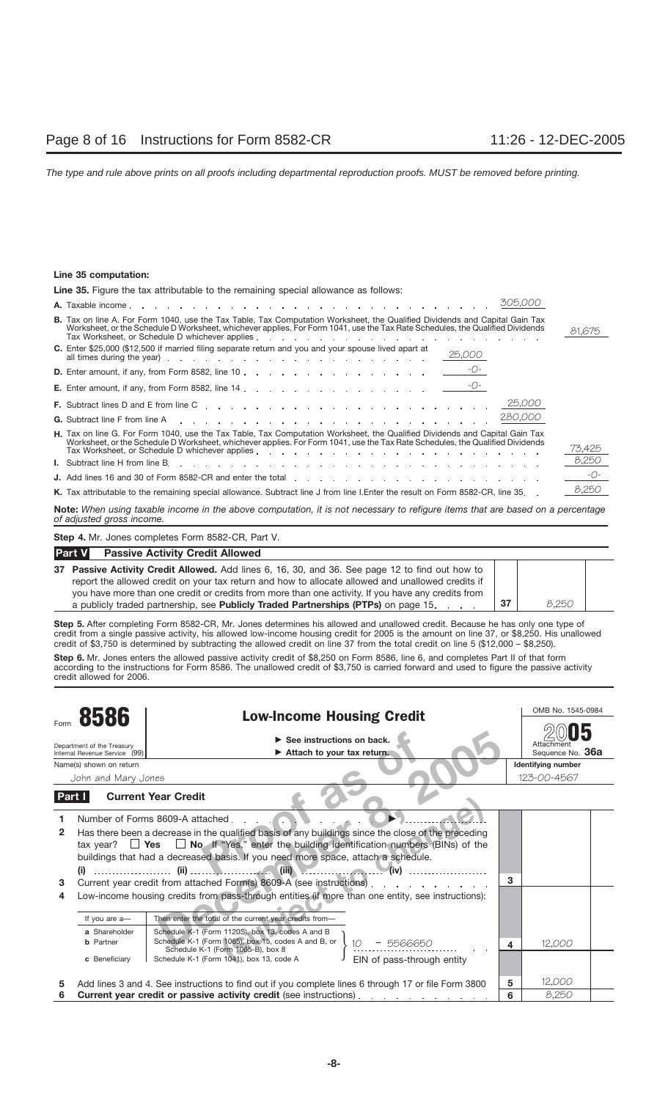## **Line 35 computation:**

| <b>Line 35.</b> Figure the tax attributable to the remaining special allowance as follows:                                                                                                                                                                                                                                                       |        |  |  |  |  |  |
|--------------------------------------------------------------------------------------------------------------------------------------------------------------------------------------------------------------------------------------------------------------------------------------------------------------------------------------------------|--------|--|--|--|--|--|
|                                                                                                                                                                                                                                                                                                                                                  |        |  |  |  |  |  |
| <b>B.</b> Tax on line A. For Form 1040, use the Tax Table, Tax Computation Worksheet, the Qualified Dividends and Capital Gain Tax<br>Worksheet, or the Schedule D Worksheet, whichever applies. For Form 1041, use the Tax Rate Schedules, the Qualified Dividends                                                                              | 81.675 |  |  |  |  |  |
| C. Enter \$25,000 (\$12,500 if married filing separate return and you and your spouse lived apart at<br>25,000<br>all times during the year) entertainment of the state of the state of the state of the state of the state of the state of the state of the state of the state of the state of the state of the state of the state of the state |        |  |  |  |  |  |
| <b>D.</b> Enter amount, if any, from Form 8582, line 10 $\frac{-O-1}{2}$                                                                                                                                                                                                                                                                         |        |  |  |  |  |  |
|                                                                                                                                                                                                                                                                                                                                                  |        |  |  |  |  |  |
|                                                                                                                                                                                                                                                                                                                                                  |        |  |  |  |  |  |
| 280,000<br><b>G.</b> Subtract line F from line A reader a reader a reader and reader and reader and reader and reader and reader that is a reader of $\sim$                                                                                                                                                                                      |        |  |  |  |  |  |
| H. Tax on line G. For Form 1040, use the Tax Table, Tax Computation Worksheet, the Qualified Dividends and Capital Gain Tax<br>Worksheet, or the Schedule D Worksheet, whichever applies. For Form 1041, use the Tax Rate Schedules, the Qualified Dividends                                                                                     | 73.425 |  |  |  |  |  |
|                                                                                                                                                                                                                                                                                                                                                  | 8,250  |  |  |  |  |  |
| <b>J.</b> Add lines 16 and 30 of Form 8582-CR and enter the total enter the total enter the content of the content of the total enter the total enter the content of the content of the content of the total enter the content of t                                                                                                              | $-0-$  |  |  |  |  |  |
| K. Tax attributable to the remaining special allowance. Subtract line J from line I.Enter the result on Form 8582-CR, line 35                                                                                                                                                                                                                    | 8.250  |  |  |  |  |  |

**Note:** *When using taxable income in the above computation, it is not necessary to refigure items that are based on a percentage of adjusted gross income.*

**Step 4.** Mr. Jones completes Form 8582-CR, Part V.

| <b>Part V</b><br><b>Passive Activity Credit Allowed</b>                                                                                                                                                                                                                                                    |     |       |  |
|------------------------------------------------------------------------------------------------------------------------------------------------------------------------------------------------------------------------------------------------------------------------------------------------------------|-----|-------|--|
| 37 Passive Activity Credit Allowed. Add lines 6, 16, 30, and 36. See page 12 to find out how to<br>report the allowed credit on your tax return and how to allocate allowed and unallowed credits if<br>you have more than one credit or credits from more than one activity. If you have any credits from |     |       |  |
| a publicly traded partnership, see Publicly Traded Partnerships (PTPs) on page 15.                                                                                                                                                                                                                         | -37 | 8.250 |  |

**Step 5.** After completing Form 8582-CR, Mr. Jones determines his allowed and unallowed credit. Because he has only one type of credit from a single passive activity, his allowed low-income housing credit for 2005 is the amount on line 37, or \$8,250. His unallowed credit of \$3,750 is determined by subtracting the allowed credit on line 37 from the total credit on line 5 (\$12,000 – \$8,250).

**Step 6.** Mr. Jones enters the allowed passive activity credit of \$8,250 on Form 8586, line 6, and completes Part II of that form according to the instructions for Form 8586. The unallowed credit of \$3,750 is carried forward and used to figure the passive activity credit allowed for 2006.

|                                                                     |                                                    |                                                                                                                                                                                                                                                                                                                                                                                                                                                                                                                                                            |              | OMB No. 1545-0984              |  |
|---------------------------------------------------------------------|----------------------------------------------------|------------------------------------------------------------------------------------------------------------------------------------------------------------------------------------------------------------------------------------------------------------------------------------------------------------------------------------------------------------------------------------------------------------------------------------------------------------------------------------------------------------------------------------------------------------|--------------|--------------------------------|--|
| 8586<br>Department of the Treasury<br>Internal Revenue Service (99) |                                                    | <b>Low-Income Housing Credit</b><br>$\triangleright$ See instructions on back.<br>Attach to your tax return.                                                                                                                                                                                                                                                                                                                                                                                                                                               |              | Attachment<br>Sequence No. 36a |  |
|                                                                     | Name(s) shown on return                            |                                                                                                                                                                                                                                                                                                                                                                                                                                                                                                                                                            |              | <b>Identifying number</b>      |  |
|                                                                     | John and Mary Jones                                |                                                                                                                                                                                                                                                                                                                                                                                                                                                                                                                                                            |              | 123-00-4567                    |  |
| Part I                                                              |                                                    | <b>Current Year Credit</b>                                                                                                                                                                                                                                                                                                                                                                                                                                                                                                                                 |              |                                |  |
| 2<br>3<br>4                                                         |                                                    | Number of Forms 8609-A attached.<br>Has there been a decrease in the qualified basis of any buildings since the close of the preceding<br>tax year? $\Box$ Yes $\Box$ No If "Yes," enter the building identification numbers (BINs) of the<br>buildings that had a decreased basis. If you need more space, attach a schedule.<br>(iii)<br>Current year credit from attached Form(s) 8609-A (see instructions).<br>and the state of the state of the<br>Low-income housing credits from pass-through entities (if more than one entity, see instructions): | $\mathbf{B}$ |                                |  |
|                                                                     | If you are a-                                      | Then enter the total of the current year credits from-                                                                                                                                                                                                                                                                                                                                                                                                                                                                                                     |              |                                |  |
|                                                                     | a Shareholder<br><b>b</b> Partner<br>c Beneficiary | Schedule K-1 (Form 1120S), box 13, codes A and B<br>Schedule K-1 (Form 1065), box 15, codes A and B, or<br>5566650<br>Schedule K-1 (Form 1065-B), box 8<br>EIN of pass-through entity<br>Schedule K-1 (Form 1041), box 13, code A                                                                                                                                                                                                                                                                                                                          | 4            | 12,000                         |  |
| 5                                                                   |                                                    | Add lines 3 and 4. See instructions to find out if you complete lines 6 through 17 or file Form 3800                                                                                                                                                                                                                                                                                                                                                                                                                                                       | 5            | 12,000                         |  |
| 6                                                                   |                                                    | Current year credit or passive activity credit (see instructions).<br>the contract of the contract of                                                                                                                                                                                                                                                                                                                                                                                                                                                      | 6            | 8,250                          |  |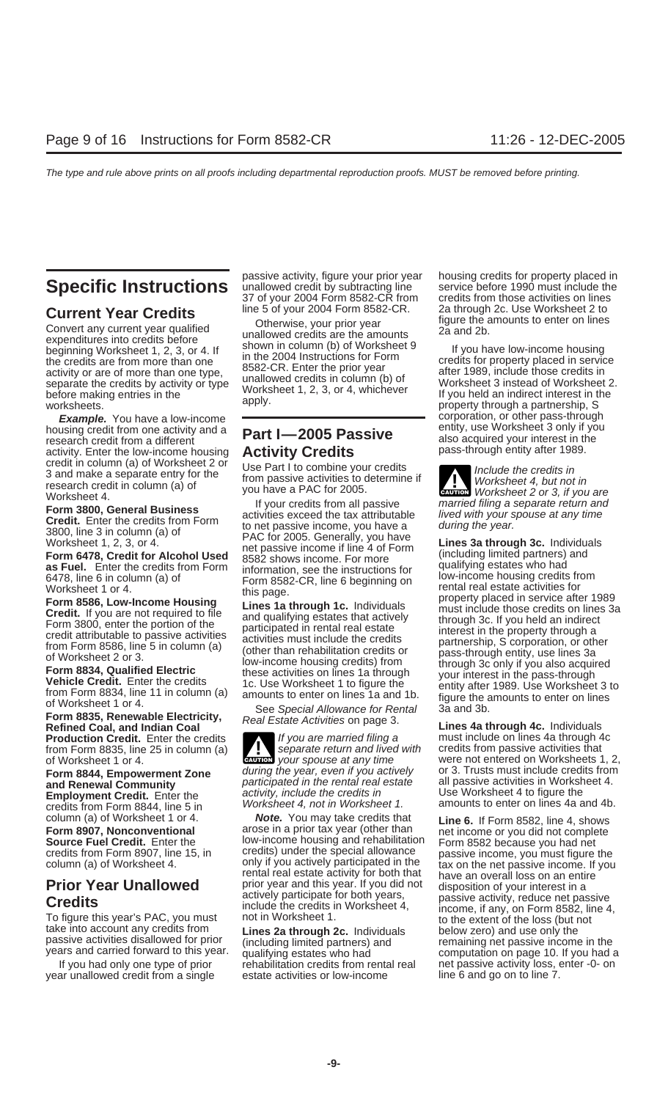the credits are from more than one in the 2004 Instructions for Form<br>
activity or are of more than one type,<br>
separate the credits by activity or type unallowed credits in column (b) of worksheet 3 instead of Worksheet 2. example of the credits by activity or type unallowed credits in column (b) of<br>
Separate the credits by activity or type Worksheet 1, 2, 3, or 4, whichever Worksheet 3 instead of Worksheet 2.<br>
Worksheet 1, 2, 3, or 4, which

housing credit from one activity and a **Part I-2005 Passive** entity, use Worksheet 3 only if you<br>research credit from a different research credit from one activity and a<br>
research credit from a different<br>
activity. Enter the low-income housing **Activity Credits** pass-through entity after 1989. activity. Enter the low-income housing<br>credit in column (a) of Worksheet 2 or credit in column (a) of Worksheet 2 or<br>3 and make a separate entry for the from passive activities to determine if *Worksheet 4, but not in*<br>research credit in column (a) of you have a PAC for 2005.

Form 8835, Renewable Electricity, See Special Allowance for Rental 3a and 3b.<br> **Form 8835, Renewable Electricity,** Real Estate Activities on page 3.<br> **Refined Coal, and Indian Coal Real Estate Activities on page 3.**<br> **Pr Production Credit.** Enter the credits If you are married filing a must include on lines 4a through 4 from Form 8835, line 25 in column (a) Separate return and lived with credits from passive activities that

year unallowed credit from a single estate activities or low-income line 6 and go on to line 7.

passive activity, figure your prior year housing credits for property placed in<br>
Specific Instructions<br>
37 of your 2004 Form 8582-CR from credits from those activities on lines 37 of your 2004 Form 8582-CR from<br>line 5 of your 2004 Form 8582-CR.

Convert any current year of the convert any current year and the stream of the convert any current year unallowed credits are the amounts and 2b.<br>
expenditures into credits before shown in column (b) of Worksheet 9 beginni

and Renewal Community<br>
and Renewal Community<br>
Employment Credit. Enter the activity, include the credits in<br>
Worksheet 4, not in Worksheet 1. amounts to enter on lines 4a and 4b.

column (a) of Worksheet 1 or 4. **Note.** You may take credits that **Line 6.** If Form 8582, line 4, shows **Form 8907, Nonconventional** arose in a prior tax year (other than net income or you did not complete **Source Fuel Credit.** Enter the low-income housing and rehabilitation Form 8582 because you had net credits from Form 8907 line 15 in credits) under the special allowance passive income you must figure credits from Form 8907, line 15, in credits) under the special allowance passive income, you must figure the column (a) of Worksheet 4. column (a) of Worksheet 4.

**Current Year Credits**<br>Cherwise, your prior year figure the amounts to enter on lines

**Example.** You have a low-income come corporation, or other pass-through

Worksheet 4.<br> **Evention 3800, General Business**<br> **Evention 3800, General Business**<br> **Evention 3800, General Business**<br> **Evention 2016**<br> **Credit.** Enter the credits from Form<br> **Solo**, line 3 in column (a) of<br> **OF** the credi

From Credit. Enter the credits of the market market market market instance on the credits from and from Form 8835, line 25 in column (a) separate return and lived with credits from passive activities that of Worksheets 1, **Form 8844, Empowerment Zone** during the year, even if you actively vere not entered on Worksheets 1, 2,<br>**Form 8844, Empowerment Zone** during the year, even if you actively or 3. Trusts must include credits from<br>**and Renew** 

Column (a) of Worksheet 4.<br> **Prior Year Unallowed**<br> **Prior Year Unallowed**<br>
To figure this year's PAC, you must<br>
To figure this year's PAC, you must<br>
To figure this year's PAC, you must<br>
To figure this year's PAC, you must ars and carried forward to this year. aqualifying estates who had and the computation on page 10. If you had a<br>If you had only one type of prior and rehabilitation credits from rental real and the passive activity loss, e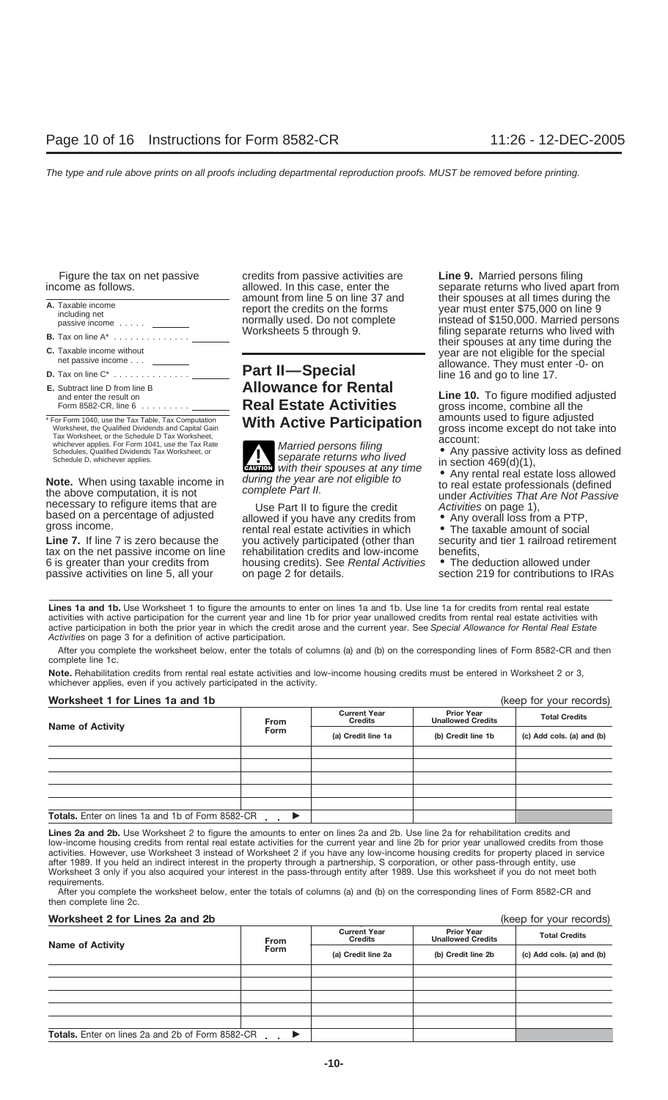| A. Taxable income<br>including net<br>passive income                                                                                                          |
|---------------------------------------------------------------------------------------------------------------------------------------------------------------|
| <b>B.</b> Tax on line $A^*$                                                                                                                                   |
| C. Taxable income without<br>net passive income                                                                                                               |
| <b>D.</b> Tax on line $C^*$                                                                                                                                   |
| <b>E.</b> Subtract line D from line B<br>and enter the result on<br>Form 8582-CR, line $6 \ldots \ldots$                                                      |
| * For Form 1040, use the Tax Table, Tax Computation<br>Worksheet, the Qualified Dividends and Capital Gain<br>Tax Worksheet, or the Schedule D Tax Worksheet, |

Figure the tax on net passive credits from passive activities are **Line 9.** Married persons filing

# **Part II—Special** and and and go to line 17. **Killowance for Rental**

Worksheet, the Qualified Dividends and Capital Gain<br>
Tax Worksheet, or the Schedule D Tax Worksheet,<br>
Schedules, Qualified Dividends Tax Worksheet, or<br>
Schedule D, whichever applies.<br>
Schedule D, whichever applies.<br>
Schedu **ENTION** with their spouses at any time

the above computation, it is not<br>necessary to refigure items that are<br>based on a percentage of adjusted<br>gross income.<br>**Line 7.** If line 7 is zero because the you actively participated (other than<br>veral real estate activiti you actively participated (other than security<br>rehabilitation credits and low-income benefits, tax on the net passive income on line rehabilitation credits and low-income benefits,<br>6 is greater than your credits from housing credits). See *Rental Activities* • The deduction allowed under 6 is greater than your credits from housing credits). See Rental Activities passive activities on line 5, all your on page 2 for details. Section 219 for contributions to IRAs

income as follows.<br>allowed. In this case, enter the separate returns who lived apart from<br>amount from line 5 on line 37 and their spouses at all times during the mount from line 5 on line 37 and their spouses at all times during the port the credits on the forms year must enter \$75,000 on line 9 ormally used. Do not complete instead of \$150,000. Married person passive income ..... normally used. Do not complete instead of \$150,000. Married persons filing separate returns who lived with their spouses at any time during the year are not eligible for the special<br>allowance. They must enter -0- on

> **and warrow is a result on the result on the result of the results of the results of the results of the results**<br>**Real Estate Activities** aross income combine all the gross income, combine all the<br>amounts used to figure adjusted **The Active Participation** all allowing used to figure adjusted **Notable** and **Reset to Figure and the figure and to figure** and the into **Notable**

**Note.** When using taxable income in their spouses at any time<br>the above computation, it is not the above computation, it is not the above computation, it is not the above complete Part II.

Lines 1a and 1b. Use Worksheet 1 to figure the amounts to enter on lines 1a and 1b. Use line 1a for credits from rental real estate activities with active participation for the current year and line 1b for prior year unallowed credits from rental real estate activities with active participation in both the prior year in which the credit arose and the current year. See *Special Allowance for Rental Real Estate Activities* on page 3 for a definition of active participation.

After you complete the worksheet below, enter the totals of columns (a) and (b) on the corresponding lines of Form 8582-CR and then complete line 1c.

**Note.** Rehabilitation credits from rental real estate activities and low-income housing credits must be entered in Worksheet 2 or 3, whichever applies, even if you actively participated in the activity.

## **Worksheet 1 for Lines 1a and 1b** (keep for your records)

|                                                         |             |                                       |                                               | $\frac{1}{2}$             |  |
|---------------------------------------------------------|-------------|---------------------------------------|-----------------------------------------------|---------------------------|--|
| <b>Name of Activity</b>                                 | <b>From</b> | <b>Current Year</b><br><b>Credits</b> | <b>Prior Year</b><br><b>Unallowed Credits</b> | <b>Total Credits</b>      |  |
|                                                         | <b>Form</b> | (a) Credit line 1a                    | (b) Credit line 1b                            | (c) Add cols. (a) and (b) |  |
|                                                         |             |                                       |                                               |                           |  |
|                                                         |             |                                       |                                               |                           |  |
|                                                         |             |                                       |                                               |                           |  |
|                                                         |             |                                       |                                               |                           |  |
|                                                         |             |                                       |                                               |                           |  |
| <b>Totals.</b> Enter on lines 1a and 1b of Form 8582-CR |             |                                       |                                               |                           |  |

**Lines 2a and 2b.** Use Worksheet 2 to figure the amounts to enter on lines 2a and 2b. Use line 2a for rehabilitation credits and low-income housing credits from rental real estate activities for the current year and line 2b for prior year unallowed credits from those activities. However, use Worksheet 3 instead of Worksheet 2 if you have any low-income housing credits for property placed in service after 1989. If you held an indirect interest in the property through a partnership, S corporation, or other pass-through entity, use Worksheet 3 only if you also acquired your interest in the pass-through entity after 1989. Use this worksheet if you do not meet both requirements.

After you complete the worksheet below, enter the totals of columns (a) and (b) on the corresponding lines of Form 8582-CR and then complete line 2c.

## **Worksheet 2 for Lines 2a and 2b**

|  |  |  | (keep for your records) |
|--|--|--|-------------------------|
|--|--|--|-------------------------|

| <b>Name of Activity</b>                                 | <b>From</b> | <b>Current Year</b><br><b>Credits</b> | <b>Prior Year</b><br><b>Unallowed Credits</b> | <b>Total Credits</b>      |  |  |
|---------------------------------------------------------|-------------|---------------------------------------|-----------------------------------------------|---------------------------|--|--|
|                                                         | <b>Form</b> | (a) Credit line 2a                    | (b) Credit line 2b                            | (c) Add cols. (a) and (b) |  |  |
|                                                         |             |                                       |                                               |                           |  |  |
|                                                         |             |                                       |                                               |                           |  |  |
|                                                         |             |                                       |                                               |                           |  |  |
|                                                         |             |                                       |                                               |                           |  |  |
|                                                         |             |                                       |                                               |                           |  |  |
| <b>Totals.</b> Enter on lines 2a and 2b of Form 8582-CR |             |                                       |                                               |                           |  |  |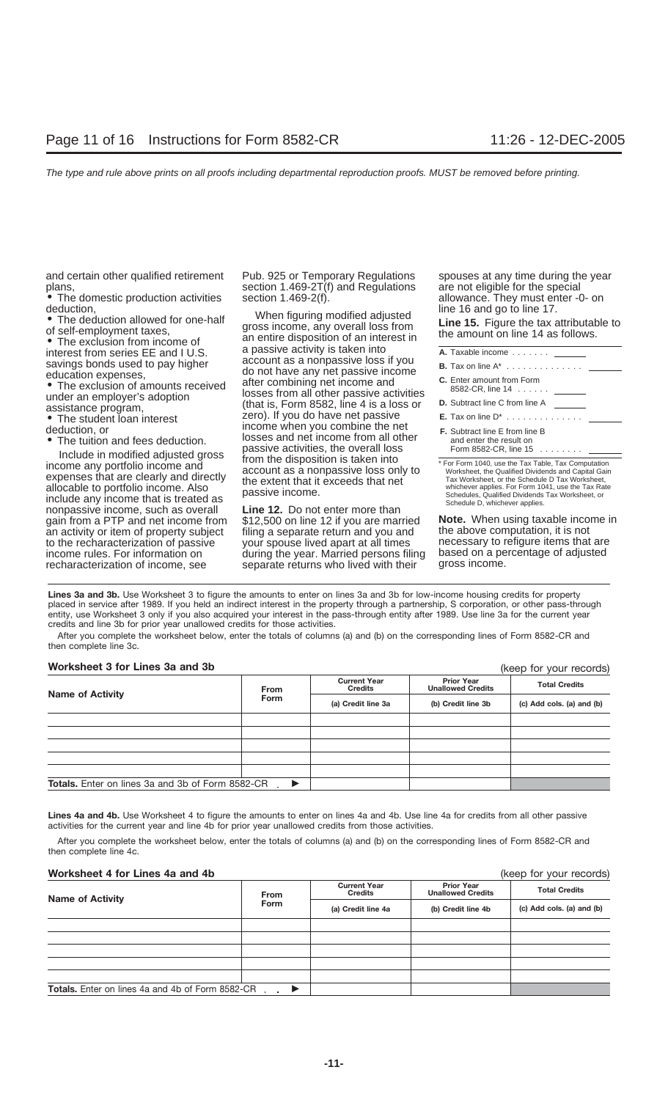and certain other qualified retirement Pub. 925 or Temporary Regulations spouses at any time during the year<br>section 1.469-2T(f) and Regulations are not eligible for the special

• The domestic production activities section  $1.469-2(f)$ . allowance. They must enter deduction,  $\frac{1.469-2(f)}{2}$  or  $\frac{1}{2}$  inter  $\frac{1}{2}$  line 16 and go to line 17.

- 
- 

Include in modified adjusted gross<br>income any portfolio income and<br>expenses that are clearly and directly<br>allocable to portfolio income. Also<br>include any income that is treated as<br>include any income that is treated as<br>incl nonpassive income, such as overall **Line 12.** Do not enter more than gain from a PTP and net income from \$12,500 on line 12 if you are married gain from a PTP and net income from \$12,500 on line 12 if you are married **Note.** When using taxable income in an activity or item of property subject filing a separate return and you and to the recharacterization of passive your spouse lived apart at all times to the recharacterization of passive your spouse lived apart at all times necessary to refigure items that are<br>income rules. For information on during the year. Married persons filing based on a percentage of adjusted income rules. For information on during the year. Married persons filing based on a percentage of a percentage<br>
recharacterization of income, see separate returns who lived with their gross income.

plans,<br>• Section 1.469-2T(f) and Regulations are not eligible for the special<br>• The domestic production activities section 1.469-2(f). The allowance. They must enter -0- on

deduction,<br>
■ The deduction allowed for one-half<br>
of self-employment taxes, gross income, any overall loss from<br>
■ The exclusion from income of and entire disposition of an interest in<br>
■ The exclusion from income of an e • The exclusion from income of an entire disposition of an interest in<br>interest from series EE and I U.S. a passive activity is taken into<br>gaving bonds used to pay bigber<br>account as a nonpassive loss if you Savings bonds used to pay higher do not have any net passive loss if you<br>
education expenses,<br>
• The exclusion of amounts received after combining net income and<br>
under an employer's adoption (that is, Form 8582, line 4 is assistance program,<br>● The student loan interest zero). If you do have net passive<br>deduction. or **E.** Tax on line one when you combine the ne Income when you combine the net<br>deduction, or **F.** Subtract line E from a from all other<br>The tuition and fees deduction. losses and net income from all other<br>passive activities, the overall loss

separate returns who lived with their

| A. Taxable income                                                                                                                                                                                                 |  |
|-------------------------------------------------------------------------------------------------------------------------------------------------------------------------------------------------------------------|--|
|                                                                                                                                                                                                                   |  |
| C. Enter amount from Form<br>8582-CR, line 14                                                                                                                                                                     |  |
| <b>D.</b> Subtract line C from line A                                                                                                                                                                             |  |
|                                                                                                                                                                                                                   |  |
| <b>F.</b> Subtract line E from line B<br>and enter the result on<br>Form 8582-CR. line $15$ $\ldots$ $\ldots$                                                                                                     |  |
| * For Form 1040, use the Tax Table, Tax Computation<br>Worksheet, the Qualified Dividends and Capital Gain<br>Tax Worksheet, or the Schedule D Tax Worksheet,<br>whichever annlies For Form 1041 use the Tay Rate |  |

Lines 3a and 3b. Use Worksheet 3 to figure the amounts to enter on lines 3a and 3b for low-income housing credits for property placed in service after 1989. If you held an indirect interest in the property through a partnership, S corporation, or other pass-through entity, use Worksheet 3 only if you also acquired your interest in the pass-through entity after 1989. Use line 3a for the current year credits and line 3b for prior year unallowed credits for those activities.

After you complete the worksheet below, enter the totals of columns (a) and (b) on the corresponding lines of Form 8582-CR and then complete line 3c.

## **Worksheet 3 for Lines 3a and 3b**

| $\frac{1}{2}$                                           |                       |                                       |                                               |                           |  |
|---------------------------------------------------------|-----------------------|---------------------------------------|-----------------------------------------------|---------------------------|--|
|                                                         | <b>From</b>           | <b>Current Year</b><br><b>Credits</b> | <b>Prior Year</b><br><b>Unallowed Credits</b> | <b>Total Credits</b>      |  |
| <b>Name of Activity</b>                                 | <b>Form</b>           | (a) Credit line 3a                    | (b) Credit line 3b                            | (c) Add cols. (a) and (b) |  |
|                                                         |                       |                                       |                                               |                           |  |
|                                                         |                       |                                       |                                               |                           |  |
|                                                         |                       |                                       |                                               |                           |  |
|                                                         |                       |                                       |                                               |                           |  |
|                                                         |                       |                                       |                                               |                           |  |
| <b>Totals.</b> Enter on lines 3a and 3b of Form 8582-CR | $\blacktriangleright$ |                                       |                                               |                           |  |

Lines 4a and 4b. Use Worksheet 4 to figure the amounts to enter on lines 4a and 4b. Use line 4a for credits from all other passive activities for the current year and line 4b for prior year unallowed credits from those activities.

After you complete the worksheet below, enter the totals of columns (a) and (b) on the corresponding lines of Form 8582-CR and then complete line 4c.

## **Worksheet 4 for Lines 4a and 4b** (keep for your records)

**Prior Year Unallowed Credits Current Year Credits Credits Credits Credits Credit Collection Credit Credit Credit in the Credit of Credit interaction <b>Credit Credit Credit Credit Credit Credit S**<br>
(a) Credit line 4a **(b)** Credit line 4b **(c)** Add cols. **Totals.** Enter on lines 4a and 4b of Form 8582-CR -▶

(keep for your records)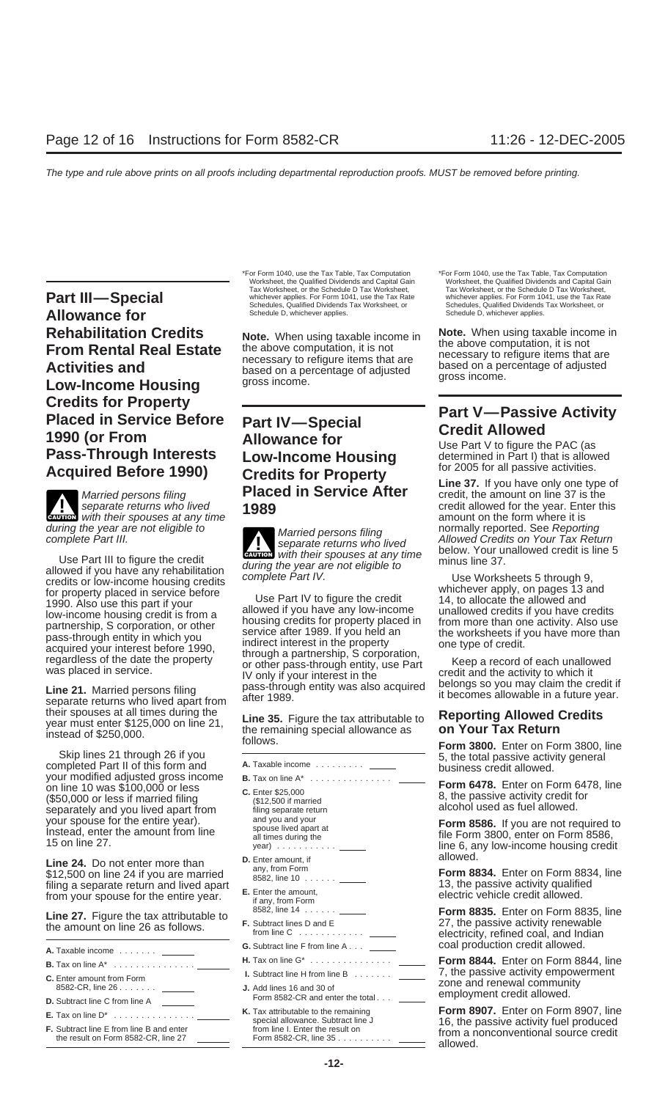**Part III—Special** Whichever applies. For Form 1041, use the Tax Rate whichever applies. For Form 1041, use the Tax Rate Whichever applies. For Form 1041, use the Tax Rate Schedules, Qualified Dividends Tax Worksheet, or **Allowance for Rehabilitation Credits Note.** When using taxable income in **Note.** When using taxable income in the above computation, it is not **From Rental Real Estate** the above computation, it is not necessary to refigure items that are necessary to refigure items that are **Activities and** based on a percentage of adjusted based on a percentage of adjusted gross income. gross income. **Low-Income Housing** Credits for Property<br>
Placed in Service Before Part IV—Special<br>
1990 (or From Allowance for Use Part V to figure the PAC (as<br>
Pass-Through Interests Low-Income Housing determined in Part I) that is allowed

**CAUTION** 

Use Part III to figure the credit<br>
aring the year are not eligible to<br>
credits or low-income housing credits<br>
credits or low-income housing credits<br>
for property placed in service before<br>
1990. Also use this part if your<br>

your modified adjusted gross income<br>
on line 10 was \$100,000 or less c. Enter \$25,000<br>
(\$50,000 or less if married filing (\$12,500 if married and you lived apart from filing separate return alcohol used as fuel allowed.

**D.** Enter amount, if allowed. **Line 24.** Do not enter more than any, from Form \$12,500 on line 24 if you are married **Form 8834.** Enter on Form 8834, line 8582, line 10 ......

| A. Taxable income _______                                                              |  |
|----------------------------------------------------------------------------------------|--|
| <b>B.</b> Tax on line $A^*$                                                            |  |
| <b>C.</b> Enter amount from Form<br>8582-CR, line 26                                   |  |
| <b>D.</b> Subtract line C from line A                                                  |  |
| <b>E.</b> Tax on line $D^*$                                                            |  |
| <b>F.</b> Subtract line E from line B and enter<br>the result on Form 8582-CR. line 27 |  |

\*For Form 1040, use the Tax Table, Tax Computation \*For Form 1040, use the Tax Table, Tax Computation Tax Worksheet, or the Schedule D Tax Worksheet, whichever applies. For Form 1041, use the Tax Rate Schedules, Qualified Dividends Tax Worksheet, or Schedules, Qualified Dividends<br>Schedule D, whichever applies. Schedule D, whichever applies.

# **Fass-Through Interests** Low-Income Housing determined in Part I) that is allowed<br> **Acquired Before 1990)** Credits for Property<br> **Credition Service After** Line 37. If you have only one type of credit, the amount on line 37 Married persons filing **Placed in Service After**<br>separate returns who lived **1989**

**ENTION** with their spouses at any time

- from your spouse for the entire year.<br>
<sup>13,</sup> the passive activity of the entire year.<br>
<sup>13,</sup> the passive activity of the entire year.<br>
<sup>8582, line 14 .......</sup>
	- Form 8582-CR and enter the total . . . <u>\_\_\_\_\_</u> employment credit allowed.<br>Tax attributable to the remaining **Form 8907.** Enter on Form 8907, line
	-

Worksheet, the Qualified Dividends and Capital Gain Worksheet, the Qualified Dividends and Capital Gain View Tax Worksheet, Tax Worksheet, Tax Worksheet, Tax Worksheet, Tax Worksheet, Tax Norksheet, Tax Rate Whichever appl

separate returns who lived **1989 CRUTION** credit allowed for the year. Enter this extending with their spouses at any time **1989 CAUTION** amount on the form where it is amount on the form where it is amount on the form during the year are not eligible to<br>complete Part III. eparate returns who lived allowed Credits on Your Tax Return<br>lise Bort III to figure the credit

their spouses at all times during the<br>year must enter \$125,000 on line 21,<br>instead of \$250,000. the remaining special allowance as<br>Skip lines 21 through 26 if you<br>completed Part II of this form and<br>A. Taxable income<br>A. Tax

your spouse for the entire year).<br>
Instead, enter the amount from line<br>
15 on line 27.<br>
The 6, any low-income housing credit<br>
The 6, any low-income housing credit

8582, line 14 ...... **Form 8835.** Enter on Form 8835, line **Line 27.** Figure the tax attributable to **F.** Subtract lines D and E 27, the passive activity renewable the amount on line 26 as follows. from line C ............ electricity, refined coal, and Indian **G.** Subtract line F from line A . . . **COAL coal production credit allowed.** 

> **B.** Tax on line A\* ............... **H.** Tax on line G\* ............... **Form 8844.** Enter on Form 8844, line 1. Subtract line H from line B ....... **C.** 7, the passive activity empower<br> **J.** Add lines 16 and 30 of **ENTE FOR ADD ENTE CONSIDER THE 26 ...**<br> **ENTER ADD ENTER AND RESISEAN CONSIDER THE 26 ..........................**

**K.** Tax attributable to the remaining **Form 8907.** Enter on Form 8907, line **E.** Tax on line D\* ............... special allowance. Subtract line J 16, the passive activity fuel produced **F.** Subtract line E from line B and enter from line I. Enter the result on from a nonconventional source credit the result on Form 8582-CR, line 27 Form 8582-CR, line 35 .......... allowed.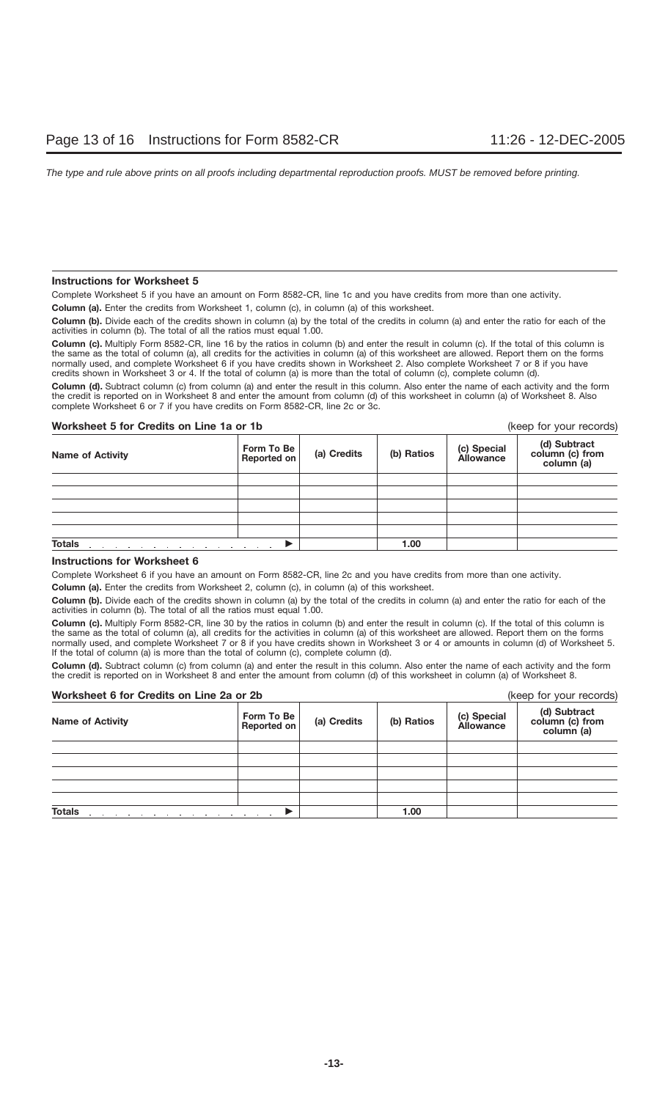## **Instructions for Worksheet 5**

Complete Worksheet 5 if you have an amount on Form 8582-CR, line 1c and you have credits from more than one activity.

**Column (a).** Enter the credits from Worksheet 1, column (c), in column (a) of this worksheet.

**Column (b).** Divide each of the credits shown in column (a) by the total of the credits in column (a) and enter the ratio for each of the activities in column (b). The total of all the ratios must equal 1.00.

Column (c). Multiply Form 8582-CR, line 16 by the ratios in column (b) and enter the result in column (c). If the total of this column is the same as the total of column (a), all credits for the activities in column (a) of this worksheet are allowed. Report them on the forms normally used, and complete Worksheet 6 if you have credits shown in Worksheet 2. Also complete Worksheet 7 or 8 if you have credits shown in Worksheet 3 or 4. If the total of column (a) is more than the total of column (c), complete column (d).

**Column (d).** Subtract column (c) from column (a) and enter the result in this column. Also enter the name of each activity and the form the credit is reported on in Worksheet 8 and enter the amount from column (d) of this worksheet in column (a) of Worksheet 8. Also complete Worksheet 6 or 7 if you have credits on Form 8582-CR, line 2c or 3c.

## **Worksheet 5 for Credits on Line 1a or 1b** (keep for your records)

| <b>Name of Activity</b> | Form To Be<br>Reported on | (a) Credits | (b) Ratios | (c) Special<br>Allowance | (d) Subtract<br>column (c) from<br>column (a) |
|-------------------------|---------------------------|-------------|------------|--------------------------|-----------------------------------------------|
|                         |                           |             |            |                          |                                               |
|                         |                           |             |            |                          |                                               |
|                         |                           |             |            |                          |                                               |
|                         |                           |             |            |                          |                                               |
|                         |                           |             |            |                          |                                               |
| <b>Totals</b>           | $\sim$ $\sim$ $\sim$      |             | 1.00       |                          |                                               |

## **Instructions for Worksheet 6**

Complete Worksheet 6 if you have an amount on Form 8582-CR, line 2c and you have credits from more than one activity.

**Column (a).** Enter the credits from Worksheet 2, column (c), in column (a) of this worksheet.

**Column (b).** Divide each of the credits shown in column (a) by the total of the credits in column (a) and enter the ratio for each of the activities in column (b). The total of all the ratios must equal 1.00.

**Column (c).** Multiply Form 8582-CR, line 30 by the ratios in column (b) and enter the result in column (c). If the total of this column is the same as the total of column (a), all credits for the activities in column (a) of this worksheet are allowed. Report them on the forms normally used, and complete Worksheet 7 or 8 if you have credits shown in Worksheet 3 or 4 or amounts in column (d) of Worksheet 5. If the total of column (a) is more than the total of column (c), complete column (d).

**Column (d).** Subtract column (c) from column (a) and enter the result in this column. Also enter the name of each activity and the form the credit is reported on in Worksheet 8 and enter the amount from column (d) of this worksheet in column (a) of Worksheet 8.

| Worksheet 6 for Credits on Line 2a or 2b |                           |             |            | (keep for your records)         |                                               |
|------------------------------------------|---------------------------|-------------|------------|---------------------------------|-----------------------------------------------|
| <b>Name of Activity</b>                  | Form To Be<br>Reported on | (a) Credits | (b) Ratios | (c) Special<br><b>Allowance</b> | (d) Subtract<br>column (c) from<br>column (a) |
|                                          |                           |             |            |                                 |                                               |
|                                          |                           |             |            |                                 |                                               |
|                                          |                           |             |            |                                 |                                               |
|                                          |                           |             |            |                                 |                                               |
|                                          |                           |             |            |                                 |                                               |
| <b>Totals</b>                            |                           |             | 1.00       |                                 |                                               |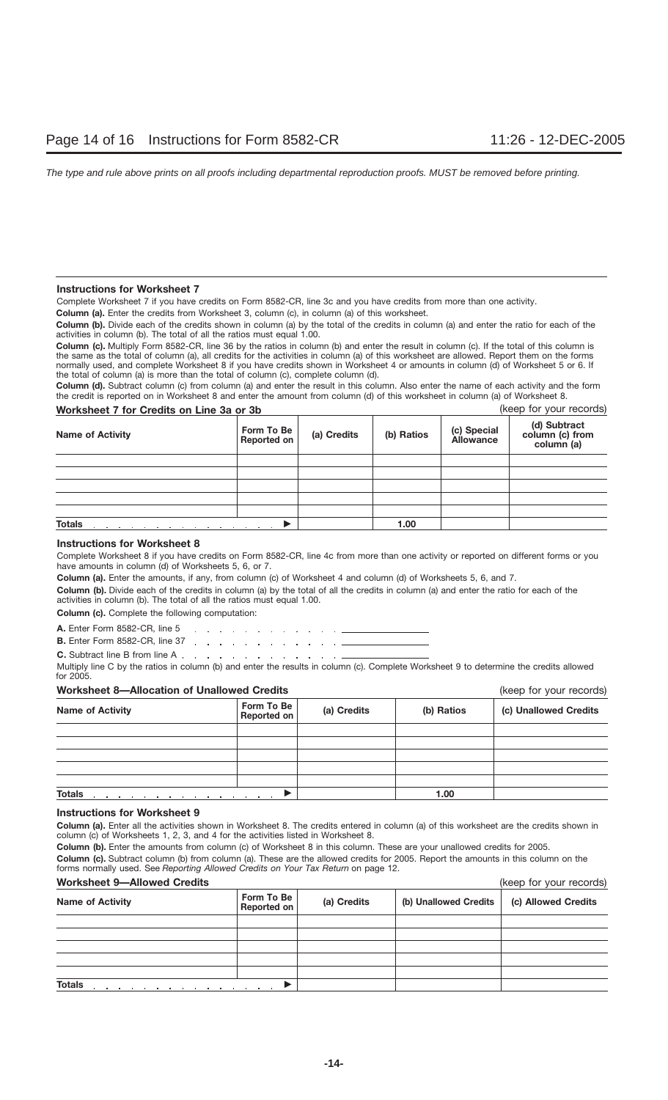## **Instructions for Worksheet 7**

Complete Worksheet 7 if you have credits on Form 8582-CR, line 3c and you have credits from more than one activity.

**Column (a).** Enter the credits from Worksheet 3, column (c), in column (a) of this worksheet.

**Column (b).** Divide each of the credits shown in column (a) by the total of the credits in column (a) and enter the ratio for each of the activities in column (b). The total of all the ratios must equal 1.00.

**Column (c).** Multiply Form 8582-CR, line 36 by the ratios in column (b) and enter the result in column (c). If the total of this column is the same as the total of column (a), all credits for the activities in column (a) of this worksheet are allowed. Report them on the forms normally used, and complete Worksheet 8 if you have credits shown in Worksheet 4 or amounts in column (d) of Worksheet 5 or 6. If the total of column (a) is more than the total of column (c), complete column (d).

**Column (d).** Subtract column (c) from column (a) and enter the result in this column. Also enter the name of each activity and the form the credit is reported on in Worksheet 8 and enter the amount from column (d) of this worksheet in column (a) of Worksheet 8.

## **Worksheet 7 for Credits on Line 3a or 3b** (keep for your records)

| <b>THE RAIL CONTROL FILL</b>                                                                                                                                                                                                                    |                           |             |            |                          | $1.000$ $0.000$ $0.000$ $0.000$               |
|-------------------------------------------------------------------------------------------------------------------------------------------------------------------------------------------------------------------------------------------------|---------------------------|-------------|------------|--------------------------|-----------------------------------------------|
| <b>Name of Activity</b>                                                                                                                                                                                                                         | Form To Be<br>Reported on | (a) Credits | (b) Ratios | (c) Special<br>Allowance | (d) Subtract<br>column (c) from<br>column (a) |
|                                                                                                                                                                                                                                                 |                           |             |            |                          |                                               |
|                                                                                                                                                                                                                                                 |                           |             |            |                          |                                               |
|                                                                                                                                                                                                                                                 |                           |             |            |                          |                                               |
|                                                                                                                                                                                                                                                 |                           |             |            |                          |                                               |
|                                                                                                                                                                                                                                                 |                           |             |            |                          |                                               |
| <b>Totals</b><br>the contract of the contract of the contract of the contract of the contract of the contract of the contract of the contract of the contract of the contract of the contract of the contract of the contract of the contract o |                           |             | 1.00       |                          |                                               |

## **Instructions for Worksheet 8**

Complete Worksheet 8 if you have credits on Form 8582-CR, line 4c from more than one activity or reported on different forms or you have amounts in column (d) of Worksheets 5, 6, or 7.

**Column (a).** Enter the amounts, if any, from column (c) of Worksheet 4 and column (d) of Worksheets 5, 6, and 7.

**Column (b).** Divide each of the credits in column (a) by the total of all the credits in column (a) and enter the ratio for each of the activities in column (b). The total of all the ratios must equal 1.00.

**Column (c).** Complete the following computation:

**A.** Enter Form 8582-CR, line 5 and a series of the contract of the contract of

**B.** Enter Form 8582-CR, line 37 . . . . . . . . . . . . . . .

**C.** Subtract line B from line A . . . . . . . . . . . . . . . . .

Multiply line C by the ratios in column (b) and enter the results in column (c). Complete Worksheet 9 to determine the credits allowed for 2005.

## **Worksheet 8—Allocation of Unallowed Credits** (keep for your records)

|                                                                                                                                                                     |                                   | $\cdots$ $\cdots$ |            |                       |
|---------------------------------------------------------------------------------------------------------------------------------------------------------------------|-----------------------------------|-------------------|------------|-----------------------|
| <b>Name of Activity</b>                                                                                                                                             | Form To Be<br>Reported on         | (a) Credits       | (b) Ratios | (c) Unallowed Credits |
|                                                                                                                                                                     |                                   |                   |            |                       |
|                                                                                                                                                                     |                                   |                   |            |                       |
|                                                                                                                                                                     |                                   |                   |            |                       |
|                                                                                                                                                                     |                                   |                   |            |                       |
|                                                                                                                                                                     |                                   |                   |            |                       |
| <b>Totals</b><br>the contract of the contract of the contract of the contract of the contract of the contract of the contract of<br>the contract of the contract of | the company of the company of the |                   | 1.00       |                       |

## **Instructions for Worksheet 9**

**Column (a).** Enter all the activities shown in Worksheet 8. The credits entered in column (a) of this worksheet are the credits shown in column (c) of Worksheets 1, 2, 3, and 4 for the activities listed in Worksheet 8.

**Column (b).** Enter the amounts from column (c) of Worksheet 8 in this column. These are your unallowed credits for 2005. **Column (c).** Subtract column (b) from column (a). These are the allowed credits for 2005. Report the amounts in this column on the forms normally used. See *Reporting Allowed Credits on Your Tax Return* on page 12.

## **Worksheet 9—Allowed Credits** (keep for your records)

| WORSHEEL 9-Allowed Credits                                                                   | (Keep for your records)          |             |                       |                     |
|----------------------------------------------------------------------------------------------|----------------------------------|-------------|-----------------------|---------------------|
| <b>Name of Activity</b>                                                                      | Form To Be<br><b>Reported on</b> | (a) Credits | (b) Unallowed Credits | (c) Allowed Credits |
|                                                                                              |                                  |             |                       |                     |
|                                                                                              |                                  |             |                       |                     |
|                                                                                              |                                  |             |                       |                     |
|                                                                                              |                                  |             |                       |                     |
|                                                                                              |                                  |             |                       |                     |
| <b>Totals</b><br>and a series of the control of the control of the control of the control of |                                  |             |                       |                     |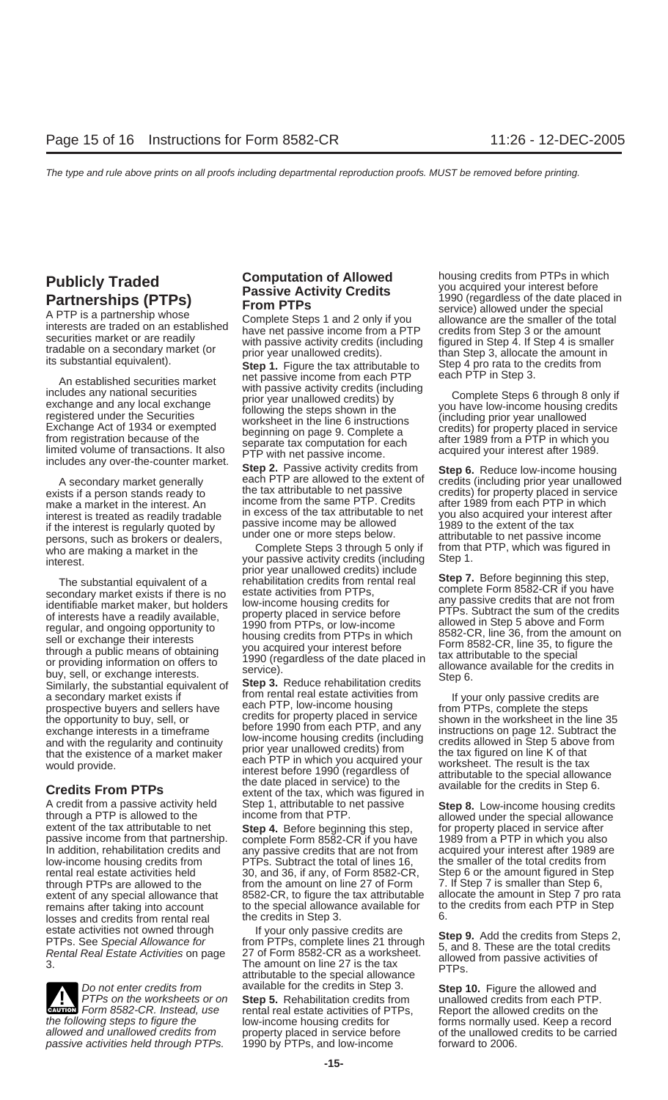An established securities market<br>
includes any national securities<br>
exchange and any local exchange<br>
registered under the Securities<br>
Exchange Act of 1934 or exempted<br>
from registration because of the<br>
limited volume of tr

if the interest is regularly quoted by and passive income may be allowed the extent of the tax<br>persons such as brokers or dealers under one or more steps below. attributable to net passive income persons, such as brokers or dealers, under one or more steps below. The attributable to net passive income<br>who are making a market in the Complete Steps 3 through 5 only if from that PTP, which was figured in

Figure a Feature and on a Form<br>
regular, and ongoing opportunity to<br>
sell or exchange their interests<br>
through a public means of obtaining<br>
or providing information on offers to<br>
buy, sell, or exchange interests.<br>
Similarl

A credit from a passive activity held Step 1, attributable to net passive **Step 8.** Low-income housing credits through a PTP is allowed to the income from that PTP.<br>
extent of the tax attributable to net **Step 4**. Before b extent of any special allowance that 8582-CR, to figure the tax attributable remains after taking into account the special allowance available for losses and credits from rental real

passive activities held through PTPs.

A secondary market generally **Step 2.** Passive activity credits from **Step 6.** Reduce low-income housing<br>A secondary market generally each PTP are allowed to the extent of credits (including prior year unallowed<br>ists if a exists if a person stands ready to the tax attributable to net passive credits) for property placed in service<br>make a market in the interest An income from the same PTP. Credits after 1989 from each PTP in which make a market in the interest. An income from the same PTP. Credits after 1989 from each PTP in which interest after interest after in the interest. An income from the tax attributable to net you also acquired your interes interest is treated as readily tradable the tax attributable to rist you also acquired your interest is required your interest is required your interest is required by passive income may be allowed the stage to the extent

who are making a market in the Complete Steps 3 through 5 only if from that interest vour passive activity credits (including Step 1. your passive activity credits (including Step 1.<br>
Interest.<br>
The substantial equivalent of a rehabilitation credits from rental real secondary market exists if there is no estate activities from PTPs, secondary market exists if there is no<br>
identifiable market maker, but holders low-income housing credits for<br>
of interests have a readily available, property placed in service before<br>
PTPs. Subtract the sum of the credits

a secondary market exists if<br>prospective buyers and sellers have a each PTP, low-income housing<br>the opportunity to buy, sell, or<br>exchange interests in a timeframe before 1990 from each PTP, and any<br>and with the regularity and with the regularity and continuity<br>that the existence of a market maker prior year unallowed credits) from the tax figured on line K of that<br>would provide.<br>would provide. would provide.<br>
would provide.<br>
Stredits From PTPs<br>
Credits From PTPs<br>
Credits From PTPs<br>
Credits From PTPs<br>
Credits From PTPs<br>
Credits From PTPs<br>
Credits From PTPs<br>
Credits From PTPs<br>
Credits From PTPs<br>
Credits From PTPs<br>

extent of the tax attributable to net **Step 4.** Before beginning this step, for property placed in service after<br>
passive income from that partnership. complete Form 8582-CR if you have 1989 from a PTP in which you also passive income from that partnership. complete Form 8582-CR if you have 1989 from a PTP in which you also<br>In addition, rehabilitation credits and any passive credits that are not from acquired your interest after 1989 an In addition, rehabilitation credits and any passive credits that are not from acquired your interest after 1989 are low-income housing credits from PTPs. Subtract the total of lines 16, the smaller of the total credits fro low-income housing credits from PTPs. Subtract the total of lines 16, the smaller of the total credits from<br>
rental real estate activities held 30, and 36, if any, of Form 8582-CR, Step 6 or the amount figured in Step 30, and 36, if any, of Form 8582-CR, Step 6 or the amount figured in Step 6, if any, of Form 8582-CR, Step 7 is smaller than Step 6, through PTPs are allowed to the from the amount on line 27 of Form 7. If Step 7 is smaller than Step 6, the state of the amount in Step 7 pro rata extent of any special allowance that 8582-CR, to figure the tax attributabl remains after taking into account to the special allowance available for to the credits from each PTP in Step<br>losses and credits from rental real the credits in Step 3. 6.

estate activities not owned through the set of the set of two set of the credits are<br>
PTPs. See Special Allowance for the PTPs, complete lines 21 through<br>
Rental Real Estate Activities on page 27 of Form 8582-CR as a works Do not enter credits from available for the credits in Step 3. **Step 10.** Figure the allowed and PTPs on the worksheets or on **Step 5.** Rehabilitation credits from unallowed credits from each PTP. Form 8582-CR. Instead, use rental real estate activities of PTPs, Report the allowed credits from each PTP **Example 2018** Form 8582-CR. Instead, use rental real estate activities of PTPs, Report the allowed credits on the the following steps to figure the low-income housing credits for forms normally used. Keep a record allowed and unallowed credits from property placed in service before of the unallowed credits to be carried passive activities held through PTPs. 1990 by PTPs, and low-income

**Publicly Traded**<br> **Partnerships (PTPs)**<br>
A PTP is a partnership whose<br>
interests are traded on an established<br>
service) allowed under the special<br>
service) allowed under the special<br>
service) allowance are the smaller of